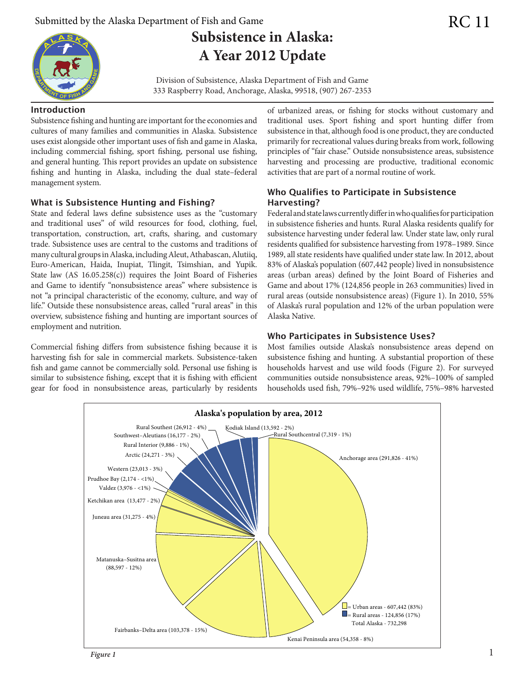Division of Subsistence, Alaska Department of Fish and Game 333 Raspberry Road, Anchorage, Alaska, 99518, (907) 267-2353

#### Introduction

Subsistence fishing and hunting are important for the economies and cultures of many families and communities in Alaska. Subsistence uses exist alongside other important uses of fish and game in Alaska, including commercial fishing, sport fishing, personal use fishing, and general hunting. This report provides an update on subsistence fishing and hunting in Alaska, including the dual state–federal management system.

#### What is Subsistence Hunting and Fishing?

State and federal laws define subsistence uses as the "customary and traditional uses" of wild resources for food, clothing, fuel, transportation, construction, art, crafts, sharing, and customary trade. Subsistence uses are central to the customs and traditions of many cultural groups in Alaska, including Aleut, Athabascan, Alutiiq, Euro-American, Haida, Inupiat, Tlingit, Tsimshian, and Yupik. State law  $(AS\ 16.05.258(c))$  requires the Joint Board of Fisheries and Game to identify "nonsubsistence areas" where subsistence is not "a principal characteristic of the economy, culture, and way of life." Outside these nonsubsistence areas, called "rural areas" in this overview, subsistence fishing and hunting are important sources of employment and nutrition.

Commercial fishing differs from subsistence fishing because it is harvesting fish for sale in commercial markets. Subsistence-taken fish and game cannot be commercially sold. Personal use fishing is similar to subsistence fishing, except that it is fishing with efficient gear for food in nonsubsistence areas, particularly by residents

of urbanized areas, or fishing for stocks without customary and traditional uses. Sport fishing and sport hunting differ from subsistence in that, although food is one product, they are conducted primarily for recreational values during breaks from work, following principles of "fair chase." Outside nonsubsistence areas, subsistence harvesting and processing are productive, traditional economic activities that are part of a normal routine of work.

# Who Qualifies to Participate in Subsistence Harvesting?

Federal and state laws currently differ in who qualifies for participation in subsistence fisheries and hunts. Rural Alaska residents qualify for subsistence harvesting under federal law. Under state law, only rural residents qualified for subsistence harvesting from 1978–1989. Since 1989, all state residents have qualified under state law. In 2012, about 83% of Alaska's population (607,442 people) lived in nonsubsistence areas (urban areas) defined by the Joint Board of Fisheries and Game and about 17% (124,856 people in 263 communities) lived in rural areas (outside nonsubsistence areas) (Figure 1). In 2010, 55% of Alaska's rural population and 12% of the urban population were Alaska Native.

#### Who Participates in Subsistence Uses?

Most families outside Alaska's nonsubsistence areas depend on subsistence fishing and hunting. A substantial proportion of these households harvest and use wild foods (Figure 2). For surveyed communities outside nonsubsistence areas, 92%–100% of sampled households used fish, 79%–92% used wildlife, 75%–98% harvested

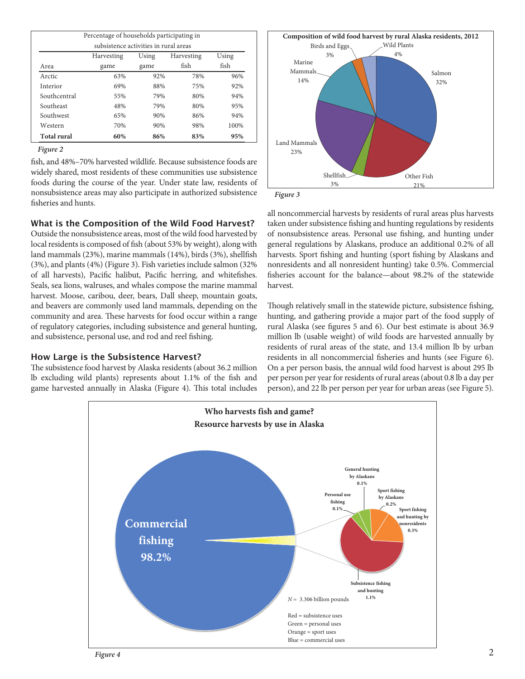| Percentage of households participating in |            |                     |      |       |  |  |  |  |
|-------------------------------------------|------------|---------------------|------|-------|--|--|--|--|
| subsistence activities in rural areas     |            |                     |      |       |  |  |  |  |
|                                           | Harvesting | Using<br>Harvesting |      | Using |  |  |  |  |
| Area                                      | game       | game                | fish | fish  |  |  |  |  |
| Arctic                                    | 63%        | 92%                 | 78%  | 96%   |  |  |  |  |
| Interior                                  | 69%        | 88%                 | 75%  | 92%   |  |  |  |  |
| Southcentral                              | 55%        | 79%                 | 80%  | 94%   |  |  |  |  |
| Southeast                                 | 48%        | 79%                 | 80%  | 95%   |  |  |  |  |
| Southwest                                 | 65%        | 90%                 | 86%  | 94%   |  |  |  |  |
| Western                                   | 70%        | 90%                 | 98%  | 100%  |  |  |  |  |
| <b>Total rural</b>                        | 60%        | 86%                 | 83%  | 95%   |  |  |  |  |

*Figure 2*

fish, and 48%–70% harvested wildlife. Because subsistence foods are widely shared, most residents of these communities use subsistence foods during the course of the year. Under state law, residents of nonsubsistence areas may also participate in authorized subsistence fisheries and hunts.

# What is the Composition of the Wild Food Harvest?

Outside the nonsubsistence areas, most of the wild food harvested by local residents is composed of fish (about 53% by weight), along with land mammals (23%), marine mammals (14%), birds (3%), shellfish (3%), and plants (4%) (Figure 3). Fish varieties include salmon (32% of all harvests), Pacific halibut, Pacific herring, and whitefishes. Seals, sea lions, walruses, and whales compose the marine mammal harvest. Moose, caribou, deer, bears, Dall sheep, mountain goats, and beavers are commonly used land mammals, depending on the community and area. These harvests for food occur within a range of regulatory categories, including subsistence and general hunting, and subsistence, personal use, and rod and reel fishing.

# How Large is the Subsistence Harvest?

The subsistence food harvest by Alaska residents (about 36.2 million lb excluding wild plants) represents about 1.1% of the fish and game harvested annually in Alaska (Figure 4). This total includes



*Figure 3*

all noncommercial harvests by residents of rural areas plus harvests taken under subsistence fishing and hunting regulations by residents of nonsubsistence areas. Personal use fishing, and hunting under general regulations by Alaskans, produce an additional 0.2% of all harvests. Sport fishing and hunting (sport fishing by Alaskans and nonresidents and all nonresident hunting) take 0.5%. Commercial fisheries account for the balance—about 98.2% of the statewide harvest.

Though relatively small in the statewide picture, subsistence fishing, hunting, and gathering provide a major part of the food supply of rural Alaska (see figures 5 and 6). Our best estimate is about 36.9 million lb (usable weight) of wild foods are harvested annually by residents of rural areas of the state, and 13.4 million lb by urban residents in all noncommercial fisheries and hunts (see Figure 6). On a per person basis, the annual wild food harvest is about 295 lb per person per year for residents of rural areas (about 0.8 lb a day per person), and 22 lb per person per year for urban areas (see Figure 5).

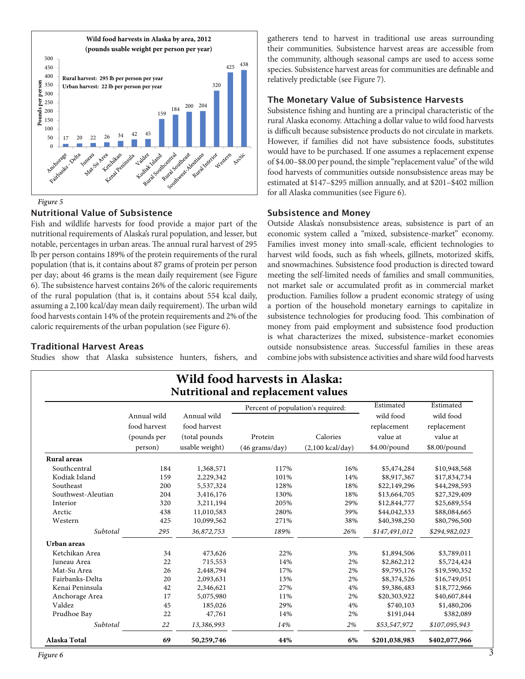

*Figure 5*

# Nutritional Value of Subsistence

Fish and wildlife harvests for food provide a major part of the nutritional requirements of Alaska's rural population, and lesser, but notable, percentages in urban areas. The annual rural harvest of 295 lb per person contains 189% of the protein requirements of the rural population (that is, it contains about 87 grams of protein per person per day; about 46 grams is the mean daily requirement (see Figure 6). The subsistence harvest contains 26% of the caloric requirements of the rural population (that is, it contains about 554 kcal daily, assuming a 2,100 kcal/day mean daily requirement). The urban wild food harvests contain 14% of the protein requirements and 2% of the caloric requirements of the urban population (see Figure 6).

# Traditional Harvest Areas

Studies show that Alaska subsistence hunters, fishers, and

gatherers tend to harvest in traditional use areas surrounding their communities. Subsistence harvest areas are accessible from the community, although seasonal camps are used to access some species. Subsistence harvest areas for communities are definable and relatively predictable (see Figure 7).

# The Monetary Value of Subsistence Harvests

Subsistence fishing and hunting are a principal characteristic of the rural Alaska economy. Attaching a dollar value to wild food harvests is difficult because subsistence products do not circulate in markets. However, if families did not have subsistence foods, substitutes would have to be purchased. If one assumes a replacement expense of \$4.00–\$8.00 per pound, the simple "replacement value" of the wild food harvests of communities outside nonsubsistence areas may be estimated at \$147–\$295 million annually, and at \$201–\$402 million for all Alaska communities (see Figure 6).

#### Subsistence and Money

Outside Alaska's nonsubsistence areas, subsistence is part of an economic system called a "mixed, subsistence-market" economy. Families invest money into small-scale, efficient technologies to harvest wild foods, such as fish wheels, gillnets, motorized skiffs, and snowmachines. Subsistence food production is directed toward meeting the self-limited needs of families and small communities, not market sale or accumulated profit as in commercial market production. Families follow a prudent economic strategy of using a portion of the household monetary earnings to capitalize in subsistence technologies for producing food. This combination of money from paid employment and subsistence food production is what characterizes the mixed, subsistence–market economies outside nonsubsistence areas. Successful families in these areas combine jobs with subsistence activities and share wild food harvests

|                    |                                                       |                                                                 | Percent of population's required: |                                        | Estimated                                            | Estimated                                            |
|--------------------|-------------------------------------------------------|-----------------------------------------------------------------|-----------------------------------|----------------------------------------|------------------------------------------------------|------------------------------------------------------|
|                    | Annual wild<br>food harvest<br>(pounds per<br>person) | Annual wild<br>food harvest<br>(total pounds)<br>usable weight) | Protein<br>(46 grams/day)         | Calories<br>$(2,100 \text{ kcal/day})$ | wild food<br>replacement<br>value at<br>\$4.00/pound | wild food<br>replacement<br>value at<br>\$8.00/pound |
| <b>Rural</b> areas |                                                       |                                                                 |                                   |                                        |                                                      |                                                      |
| Southcentral       | 184                                                   | 1,368,571                                                       | 117%                              | 16%                                    | \$5,474,284                                          | \$10,948,568                                         |
| Kodiak Island      | 159                                                   | 2,229,342                                                       | 101%                              | 14%                                    | \$8,917,367                                          | \$17,834,734                                         |
| Southeast          | 200                                                   | 5,537,324                                                       | 128%                              | 18%                                    | \$22,149,296                                         | \$44,298,593                                         |
| Southwest-Aleutian | 204                                                   | 3,416,176                                                       | 130%                              | 18%                                    | \$13,664,705                                         | \$27,329,409                                         |
| Interior           | 320                                                   | 3,211,194                                                       | 205%                              | 29%                                    | \$12,844,777                                         | \$25,689,554                                         |
| Arctic             | 438                                                   | 11,010,583                                                      | 280%                              | 39%                                    | \$44,042,333                                         | \$88,084,665                                         |
| Western            | 425                                                   | 10,099,562                                                      | 271%                              | 38%                                    | \$40,398,250                                         | \$80,796,500                                         |
| Subtotal           | 295                                                   | 36,872,753                                                      | 189%                              | 26%                                    | \$147,491,012                                        | \$294,982,023                                        |
| Urban areas        |                                                       |                                                                 |                                   |                                        |                                                      |                                                      |
| Ketchikan Area     | 34                                                    | 473,626                                                         | 22%                               | 3%                                     | \$1,894,506                                          | \$3,789,011                                          |
| Juneau Area        | 22                                                    | 715,553                                                         | 14%                               | 2%                                     | \$2,862,212                                          | \$5,724,424                                          |
| Mat-Su Area        | 26                                                    | 2,448,794                                                       | 17%                               | 2%                                     | \$9,795,176                                          | \$19,590,352                                         |
| Fairbanks-Delta    | 20                                                    | 2,093,631                                                       | 13%                               | 2%                                     | \$8,374,526                                          | \$16,749,051                                         |
| Kenai Peninsula    | 42                                                    | 2,346,621                                                       | 27%                               | 4%                                     | \$9,386,483                                          | \$18,772,966                                         |
| Anchorage Area     | 17                                                    | 5,075,980                                                       | 11%                               | 2%                                     | \$20,303,922                                         | \$40,607,844                                         |
| Valdez             | 45                                                    | 185,026                                                         | 29%                               | 4%                                     | \$740,103                                            | \$1,480,206                                          |
| Prudhoe Bay        | 22                                                    | 47,761                                                          | 14%                               | 2%                                     | \$191,044                                            | \$382,089                                            |
| Subtotal           | 22                                                    | 13,386,993                                                      | 14%                               | 2%                                     | \$53,547,972                                         | \$107,095,943                                        |
| Alaska Total       | 69                                                    | 50,259,746                                                      | 44%                               | 6%                                     | \$201,038,983                                        | \$402,077,966                                        |